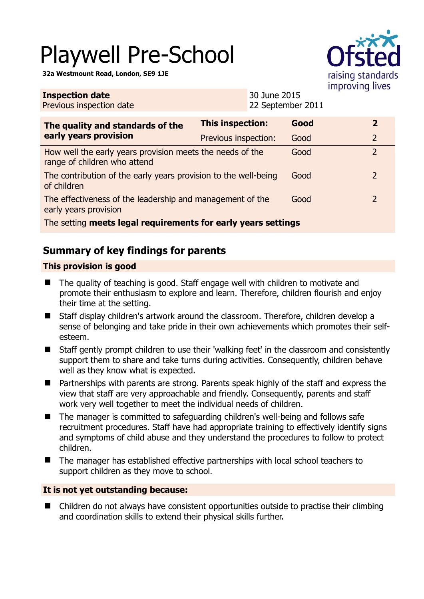# Playwell Pre-School

**32a Westmount Road, London, SE9 1JE** 

**Inspection date**



| <b>Inspection date</b><br>Previous inspection date                                        |                      | 30 June 2015<br>22 September 2011 |      |  |                |
|-------------------------------------------------------------------------------------------|----------------------|-----------------------------------|------|--|----------------|
| The quality and standards of the<br>early years provision                                 | This inspection:     |                                   | Good |  | $\overline{2}$ |
|                                                                                           | Previous inspection: |                                   | Good |  | $\overline{2}$ |
| How well the early years provision meets the needs of the<br>range of children who attend |                      |                                   | Good |  | $\overline{2}$ |
| The contribution of the early years provision to the well-being<br>of children            |                      |                                   | Good |  | $\overline{2}$ |
| The effectiveness of the leadership and management of the<br>early years provision        |                      |                                   | Good |  | $\overline{2}$ |
| The setting meets legal requirements for early years settings                             |                      |                                   |      |  |                |

## **Summary of key findings for parents**

#### **This provision is good**

- The quality of teaching is good. Staff engage well with children to motivate and promote their enthusiasm to explore and learn. Therefore, children flourish and enjoy their time at the setting.
- Staff display children's artwork around the classroom. Therefore, children develop a sense of belonging and take pride in their own achievements which promotes their selfesteem.
- Staff gently prompt children to use their 'walking feet' in the classroom and consistently support them to share and take turns during activities. Consequently, children behave well as they know what is expected.
- Partnerships with parents are strong. Parents speak highly of the staff and express the view that staff are very approachable and friendly. Consequently, parents and staff work very well together to meet the individual needs of children.
- The manager is committed to safeguarding children's well-being and follows safe recruitment procedures. Staff have had appropriate training to effectively identify signs and symptoms of child abuse and they understand the procedures to follow to protect children.
- The manager has established effective partnerships with local school teachers to support children as they move to school.

#### **It is not yet outstanding because:**

■ Children do not always have consistent opportunities outside to practise their climbing and coordination skills to extend their physical skills further.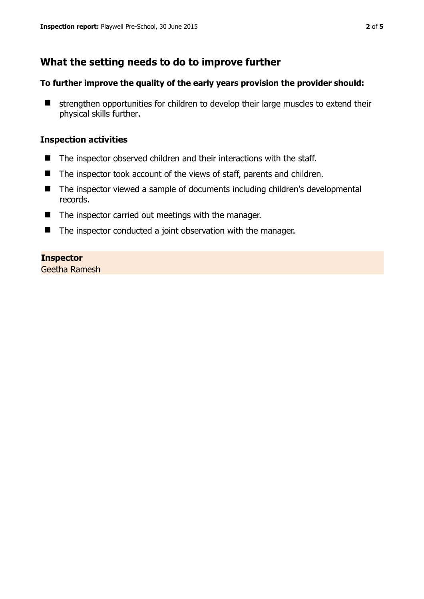## **What the setting needs to do to improve further**

#### **To further improve the quality of the early years provision the provider should:**

**E** strengthen opportunities for children to develop their large muscles to extend their physical skills further.

#### **Inspection activities**

- The inspector observed children and their interactions with the staff.
- The inspector took account of the views of staff, parents and children.
- The inspector viewed a sample of documents including children's developmental records.
- The inspector carried out meetings with the manager.
- The inspector conducted a joint observation with the manager.

#### **Inspector**

Geetha Ramesh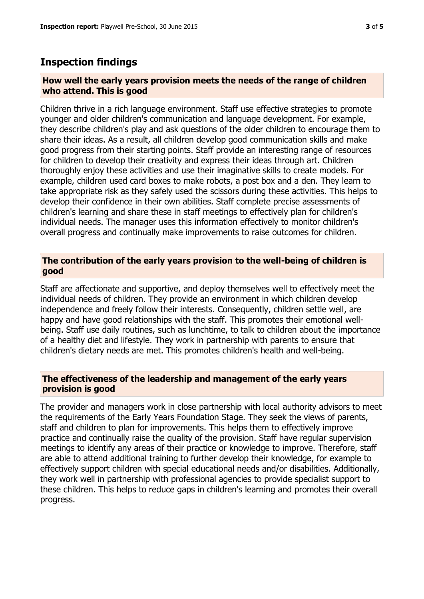### **Inspection findings**

#### **How well the early years provision meets the needs of the range of children who attend. This is good**

Children thrive in a rich language environment. Staff use effective strategies to promote younger and older children's communication and language development. For example, they describe children's play and ask questions of the older children to encourage them to share their ideas. As a result, all children develop good communication skills and make good progress from their starting points. Staff provide an interesting range of resources for children to develop their creativity and express their ideas through art. Children thoroughly enjoy these activities and use their imaginative skills to create models. For example, children used card boxes to make robots, a post box and a den. They learn to take appropriate risk as they safely used the scissors during these activities. This helps to develop their confidence in their own abilities. Staff complete precise assessments of children's learning and share these in staff meetings to effectively plan for children's individual needs. The manager uses this information effectively to monitor children's overall progress and continually make improvements to raise outcomes for children.

#### **The contribution of the early years provision to the well-being of children is good**

Staff are affectionate and supportive, and deploy themselves well to effectively meet the individual needs of children. They provide an environment in which children develop independence and freely follow their interests. Consequently, children settle well, are happy and have good relationships with the staff. This promotes their emotional wellbeing. Staff use daily routines, such as lunchtime, to talk to children about the importance of a healthy diet and lifestyle. They work in partnership with parents to ensure that children's dietary needs are met. This promotes children's health and well-being.

#### **The effectiveness of the leadership and management of the early years provision is good**

The provider and managers work in close partnership with local authority advisors to meet the requirements of the Early Years Foundation Stage. They seek the views of parents, staff and children to plan for improvements. This helps them to effectively improve practice and continually raise the quality of the provision. Staff have regular supervision meetings to identify any areas of their practice or knowledge to improve. Therefore, staff are able to attend additional training to further develop their knowledge, for example to effectively support children with special educational needs and/or disabilities. Additionally, they work well in partnership with professional agencies to provide specialist support to these children. This helps to reduce gaps in children's learning and promotes their overall progress.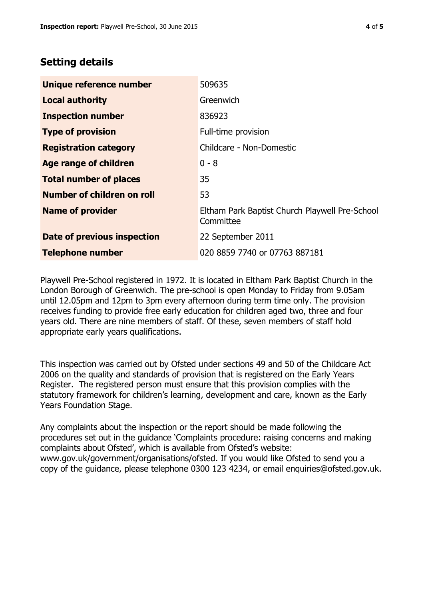## **Setting details**

| Unique reference number       | 509635                                                      |
|-------------------------------|-------------------------------------------------------------|
| <b>Local authority</b>        | Greenwich                                                   |
| <b>Inspection number</b>      | 836923                                                      |
| <b>Type of provision</b>      | Full-time provision                                         |
| <b>Registration category</b>  | Childcare - Non-Domestic                                    |
| Age range of children         | $0 - 8$                                                     |
| <b>Total number of places</b> | 35                                                          |
| Number of children on roll    | 53                                                          |
| <b>Name of provider</b>       | Eltham Park Baptist Church Playwell Pre-School<br>Committee |
| Date of previous inspection   | 22 September 2011                                           |
| <b>Telephone number</b>       | 020 8859 7740 or 07763 887181                               |

Playwell Pre-School registered in 1972. It is located in Eltham Park Baptist Church in the London Borough of Greenwich. The pre-school is open Monday to Friday from 9.05am until 12.05pm and 12pm to 3pm every afternoon during term time only. The provision receives funding to provide free early education for children aged two, three and four years old. There are nine members of staff. Of these, seven members of staff hold appropriate early years qualifications.

This inspection was carried out by Ofsted under sections 49 and 50 of the Childcare Act 2006 on the quality and standards of provision that is registered on the Early Years Register. The registered person must ensure that this provision complies with the statutory framework for children's learning, development and care, known as the Early Years Foundation Stage.

Any complaints about the inspection or the report should be made following the procedures set out in the guidance 'Complaints procedure: raising concerns and making complaints about Ofsted', which is available from Ofsted's website: www.gov.uk/government/organisations/ofsted. If you would like Ofsted to send you a copy of the guidance, please telephone 0300 123 4234, or email enquiries@ofsted.gov.uk.